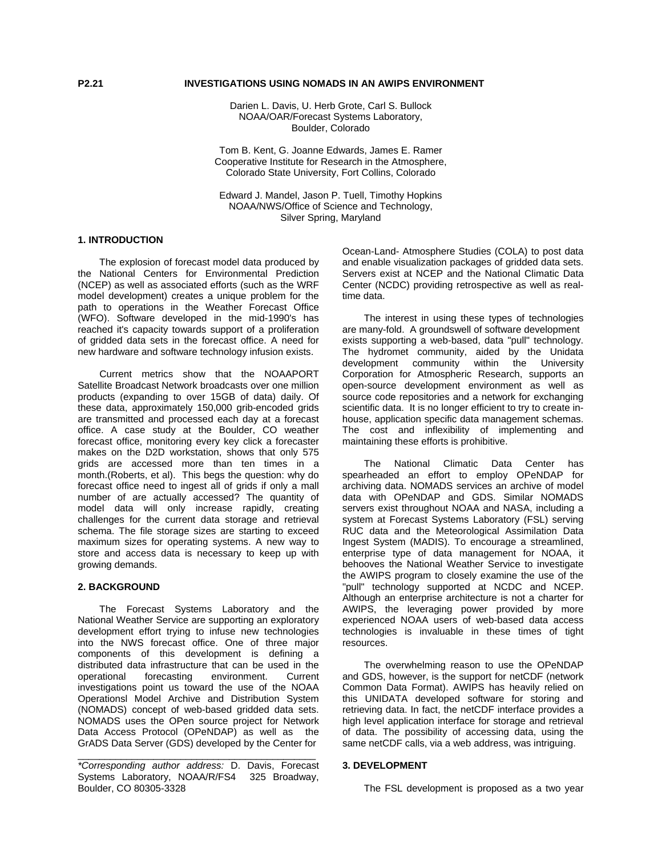## **P2.21 INVESTIGATIONS USING NOMADS IN AN AWIPS ENVIRONMENT**

Darien L. Davis, U. Herb Grote, Carl S. Bullock NOAA/OAR/Forecast Systems Laboratory, Boulder, Colorado

Tom B. Kent, G. Joanne Edwards, James E. Ramer Cooperative Institute for Research in the Atmosphere, Colorado State University, Fort Collins, Colorado

Edward J. Mandel, Jason P. Tuell, Timothy Hopkins NOAA/NWS/Office of Science and Technology, Silver Spring, Maryland

### **1. INTRODUCTION**

 The explosion of forecast model data produced by the National Centers for Environmental Prediction (NCEP) as well as associated efforts (such as the WRF model development) creates a unique problem for the path to operations in the Weather Forecast Office (WFO). Software developed in the mid-1990's has reached it's capacity towards support of a proliferation of gridded data sets in the forecast office. A need for new hardware and software technology infusion exists.

 Current metrics show that the NOAAPORT Satellite Broadcast Network broadcasts over one million products (expanding to over 15GB of data) daily. Of these data, approximately 150,000 grib-encoded grids are transmitted and processed each day at a forecast office. A case study at the Boulder, CO weather forecast office, monitoring every key click a forecaster makes on the D2D workstation, shows that only 575 grids are accessed more than ten times in a month.(Roberts, et al). This begs the question: why do forecast office need to ingest all of grids if only a mall number of are actually accessed? The quantity of model data will only increase rapidly, creating challenges for the current data storage and retrieval schema. The file storage sizes are starting to exceed maximum sizes for operating systems. A new way to store and access data is necessary to keep up with growing demands.

## **2. BACKGROUND**

 The Forecast Systems Laboratory and the National Weather Service are supporting an exploratory development effort trying to infuse new technologies into the NWS forecast office. One of three major components of this development is defining a distributed data infrastructure that can be used in the operational forecasting environment. Current investigations point us toward the use of the NOAA Operationsl Model Archive and Distribution System (NOMADS) concept of web-based gridded data sets. NOMADS uses the OPen source project for Network Data Access Protocol (OPeNDAP) as well as the GrADS Data Server (GDS) developed by the Center for

*\*Corresponding author address:* D. Davis, Forecast Systems Laboratory, NOAA/R/FS4 325 Broadway, Boulder, CO 80305-3328

\_\_\_\_\_\_\_\_\_\_\_\_\_\_\_\_\_\_\_\_\_\_\_\_\_\_\_\_\_\_\_\_\_\_\_\_\_\_\_\_\_\_\_\_

Ocean-Land- Atmosphere Studies (COLA) to post data and enable visualization packages of gridded data sets. Servers exist at NCEP and the National Climatic Data Center (NCDC) providing retrospective as well as realtime data.

 The interest in using these types of technologies are many-fold. A groundswell of software development exists supporting a web-based, data "pull" technology. The hydromet community, aided by the Unidata development community within the University Corporation for Atmospheric Research, supports an open-source development environment as well as source code repositories and a network for exchanging scientific data. It is no longer efficient to try to create inhouse, application specific data management schemas. The cost and inflexibility of implementing and maintaining these efforts is prohibitive.

 The National Climatic Data Center has spearheaded an effort to employ OPeNDAP for archiving data. NOMADS services an archive of model data with OPeNDAP and GDS. Similar NOMADS servers exist throughout NOAA and NASA, including a system at Forecast Systems Laboratory (FSL) serving RUC data and the Meteorological Assimilation Data Ingest System (MADIS). To encourage a streamlined, enterprise type of data management for NOAA, it behooves the National Weather Service to investigate the AWIPS program to closely examine the use of the "pull" technology supported at NCDC and NCEP. Although an enterprise architecture is not a charter for AWIPS, the leveraging power provided by more experienced NOAA users of web-based data access technologies is invaluable in these times of tight resources.

 The overwhelming reason to use the OPeNDAP and GDS, however, is the support for netCDF (network Common Data Format). AWIPS has heavily relied on this UNIDATA developed software for storing and retrieving data. In fact, the netCDF interface provides a high level application interface for storage and retrieval of data. The possibility of accessing data, using the same netCDF calls, via a web address, was intriguing.

# **3. DEVELOPMENT**

The FSL development is proposed as a two year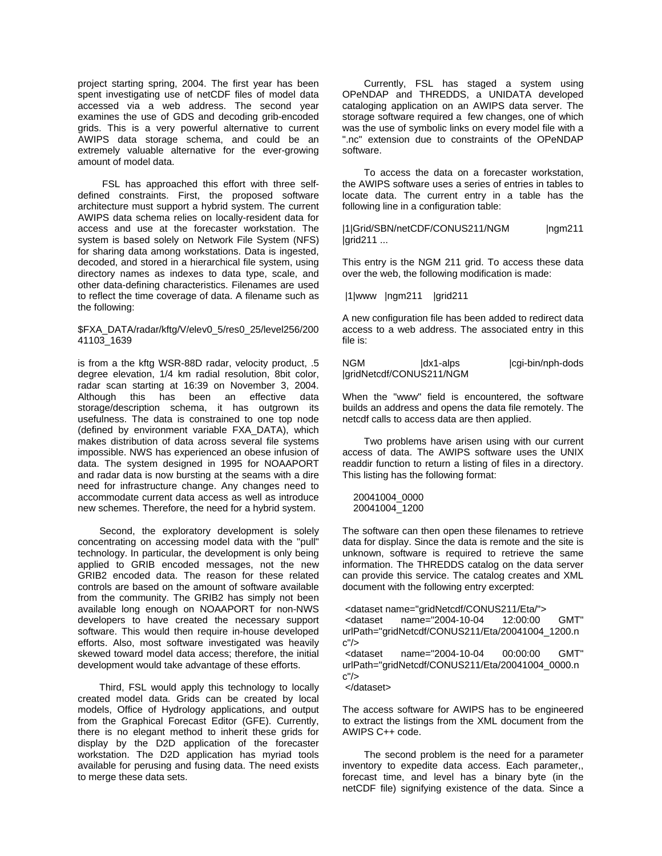project starting spring, 2004. The first year has been spent investigating use of netCDF files of model data accessed via a web address. The second year examines the use of GDS and decoding grib-encoded grids. This is a very powerful alternative to current AWIPS data storage schema, and could be an extremely valuable alternative for the ever-growing amount of model data.

 FSL has approached this effort with three selfdefined constraints. First, the proposed software architecture must support a hybrid system. The current AWIPS data schema relies on locally-resident data for access and use at the forecaster workstation. The system is based solely on Network File System (NFS) for sharing data among workstations. Data is ingested, decoded, and stored in a hierarchical file system, using directory names as indexes to data type, scale, and other data-defining characteristics. Filenames are used to reflect the time coverage of data. A filename such as the following:

## \$FXA\_DATA/radar/kftg/V/elev0\_5/res0\_25/level256/200 41103\_1639

is from a the kftg WSR-88D radar, velocity product, .5 degree elevation, 1/4 km radial resolution, 8bit color, radar scan starting at 16:39 on November 3, 2004. Although this has been an effective data storage/description schema, it has outgrown its usefulness. The data is constrained to one top node (defined by environment variable FXA\_DATA), which makes distribution of data across several file systems impossible. NWS has experienced an obese infusion of data. The system designed in 1995 for NOAAPORT and radar data is now bursting at the seams with a dire need for infrastructure change. Any changes need to accommodate current data access as well as introduce new schemes. Therefore, the need for a hybrid system.

 Second, the exploratory development is solely concentrating on accessing model data with the "pull" technology. In particular, the development is only being applied to GRIB encoded messages, not the new GRIB2 encoded data. The reason for these related controls are based on the amount of software available from the community. The GRIB2 has simply not been available long enough on NOAAPORT for non-NWS developers to have created the necessary support software. This would then require in-house developed efforts. Also, most software investigated was heavily skewed toward model data access; therefore, the initial development would take advantage of these efforts.

 Third, FSL would apply this technology to locally created model data. Grids can be created by local models, Office of Hydrology applications, and output from the Graphical Forecast Editor (GFE). Currently, there is no elegant method to inherit these grids for display by the D2D application of the forecaster workstation. The D2D application has myriad tools available for perusing and fusing data. The need exists to merge these data sets.

 Currently, FSL has staged a system using OPeNDAP and THREDDS, a UNIDATA developed cataloging application on an AWIPS data server. The storage software required a few changes, one of which was the use of symbolic links on every model file with a ".nc" extension due to constraints of the OPeNDAP software.

 To access the data on a forecaster workstation, the AWIPS software uses a series of entries in tables to locate data. The current entry in a table has the following line in a configuration table:

|1|Grid/SBN/netCDF/CONUS211/NGM |ngm211 larid211 ...

This entry is the NGM 211 grid. To access these data over the web, the following modification is made:

|1|www |ngm211 |grid211

A new configuration file has been added to redirect data access to a web address. The associated entry in this file is:

NGM |dx1-alps |cgi-bin/nph-dods |gridNetcdf/CONUS211/NGM

When the "www" field is encountered, the software builds an address and opens the data file remotely. The netcdf calls to access data are then applied.

 Two problems have arisen using with our current access of data. The AWIPS software uses the UNIX readdir function to return a listing of files in a directory. This listing has the following format:

 20041004\_0000 20041004\_1200

The software can then open these filenames to retrieve data for display. Since the data is remote and the site is unknown, software is required to retrieve the same information. The THREDDS catalog on the data server can provide this service. The catalog creates and XML document with the following entry excerpted:

```
 <dataset name="gridNetcdf/CONUS211/Eta/"> 
 <dataset name="2004-10-04 12:00:00 GMT" 
urlPath="gridNetcdf/CONUS211/Eta/20041004_1200.n
c"/> 
 <dataset name="2004-10-04 00:00:00 GMT" 
urlPath="gridNetcdf/CONUS211/Eta/20041004_0000.n
c'' </dataset>
```
The access software for AWIPS has to be engineered to extract the listings from the XML document from the AWIPS C++ code.

 The second problem is the need for a parameter inventory to expedite data access. Each parameter,, forecast time, and level has a binary byte (in the netCDF file) signifying existence of the data. Since a